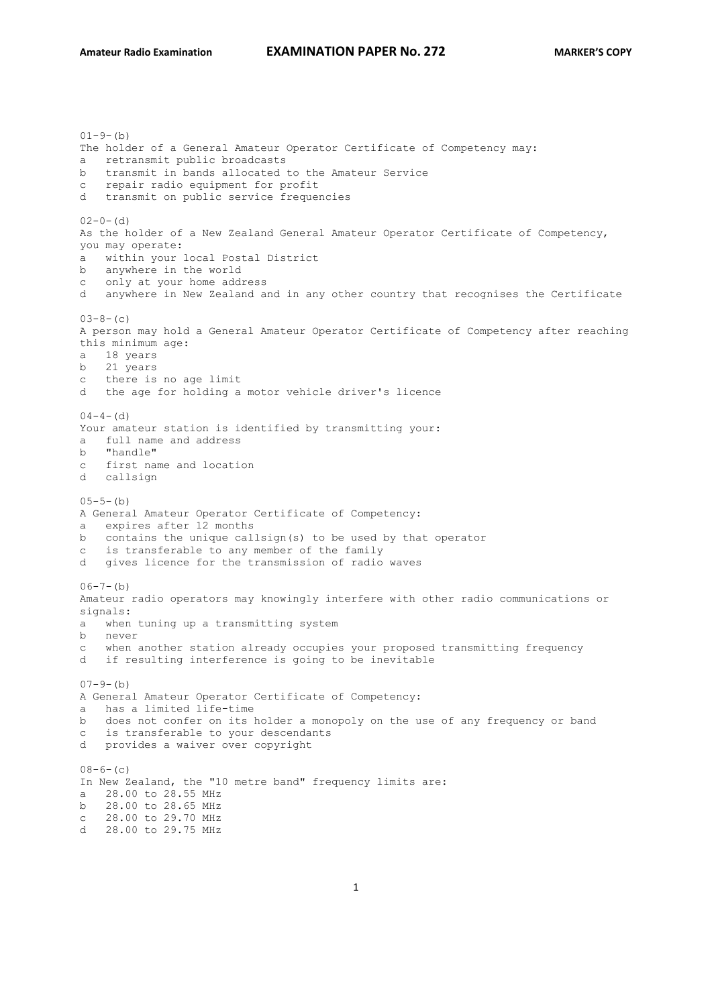$(1-9-1)$ The holder of a General Amateur Operator Certificate of Competency may: a retransmit public broadcasts b transmit in bands allocated to the Amateur Service c repair radio equipment for profit d transmit on public service frequencies  $02-0-$  (d) As the holder of a New Zealand General Amateur Operator Certificate of Competency, you may operate: a within your local Postal District b anywhere in the world c only at your home address d anywhere in New Zealand and in any other country that recognises the Certificate  $03-8-(c)$ A person may hold a General Amateur Operator Certificate of Competency after reaching this minimum age: a 18 years b 21 years c there is no age limit d the age for holding a motor vehicle driver's licence  $04 - 4 - (d)$ Your amateur station is identified by transmitting your: a full name and address b "handle" c first name and location d callsign  $05-5-(h)$ A General Amateur Operator Certificate of Competency: a expires after 12 months b contains the unique callsign(s) to be used by that operator c is transferable to any member of the family d gives licence for the transmission of radio waves  $(06-7-(b))$ Amateur radio operators may knowingly interfere with other radio communications or signals: a when tuning up a transmitting system b never c when another station already occupies your proposed transmitting frequency d if resulting interference is going to be inevitable  $07-9-(b)$ A General Amateur Operator Certificate of Competency: a has a limited life-time b does not confer on its holder a monopoly on the use of any frequency or band c is transferable to your descendants d provides a waiver over copyright  $08-6-(c)$ In New Zealand, the "10 metre band" frequency limits are: a 28.00 to 28.55 MHz b 28.00 to 28.65 MHz c 28.00 to 29.70 MHz d 28.00 to 29.75 MHz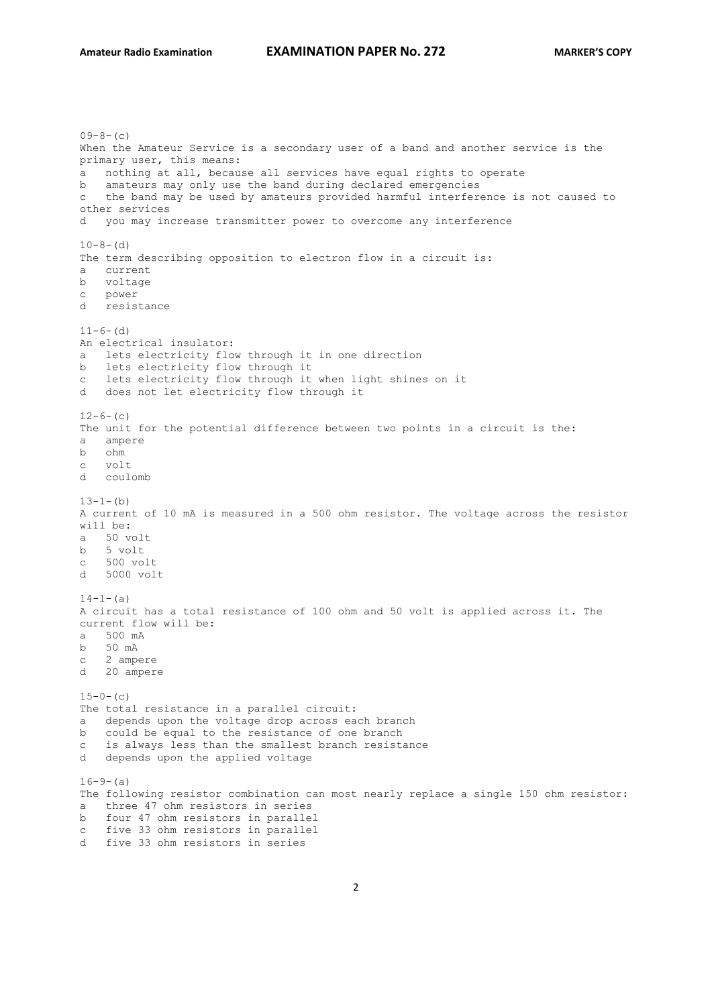```
09-8-(c)When the Amateur Service is a secondary user of a band and another service is the 
primary user, this means:
a nothing at all, because all services have equal rights to operate
b amateurs may only use the band during declared emergencies
c the band may be used by amateurs provided harmful interference is not caused to 
other services
d you may increase transmitter power to overcome any interference
10-8- (d)
The term describing opposition to electron flow in a circuit is:
a current
b voltage 
c power
d resistance
11-6- (d)
An electrical insulator:
a lets electricity flow through it in one direction
b lets electricity flow through it
c lets electricity flow through it when light shines on it
d does not let electricity flow through it
12-6-(c)The unit for the potential difference between two points in a circuit is the:
a ampere
b ohm
c volt
d coulomb
13-1-(h)A current of 10 mA is measured in a 500 ohm resistor. The voltage across the resistor 
will be:
a 50 volt
b 5 volt
\frac{z}{c} 500 volt
d 5000 volt
14-1-(a)
A circuit has a total resistance of 100 ohm and 50 volt is applied across it. The 
current flow will be:
a 500 mA
b 50 mA
c 2 ampere
d 20 ampere
15-0- (c)
The total resistance in a parallel circuit:
a depends upon the voltage drop across each branch
b could be equal to the resistance of one branch
c is always less than the smallest branch resistance
d depends upon the applied voltage
16-9-(a)The following resistor combination can most nearly replace a single 150 ohm resistor:
a three 47 ohm resistors in series
b four 47 ohm resistors in parallel
c five 33 ohm resistors in parallel 
d five 33 ohm resistors in series
```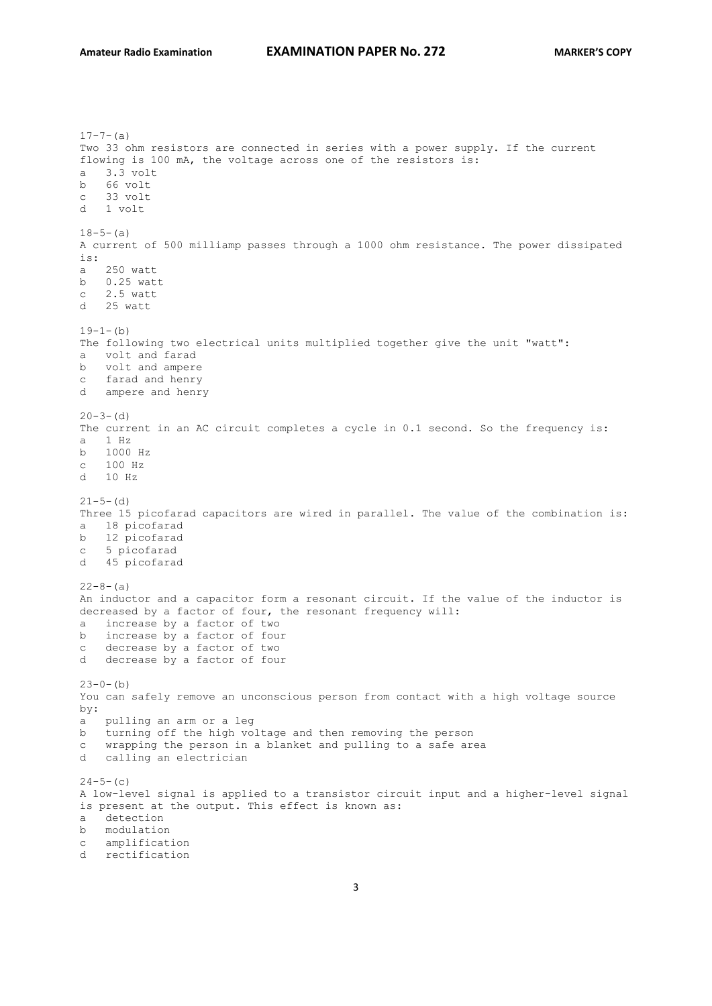```
17-7-(a)Two 33 ohm resistors are connected in series with a power supply. If the current 
flowing is 100 mA, the voltage across one of the resistors is:
a 3.3 volt
b 66 volt
c 33 volt 
d 1 volt
18-5-(a)A current of 500 milliamp passes through a 1000 ohm resistance. The power dissipated 
is:
a 250 watt
b 0.25 watt
c 2.5 watt
d 25 watt
19-1-(b)The following two electrical units multiplied together give the unit "watt":
a volt and farad
b volt and ampere
c farad and henry 
d ampere and henry
20 - 3 - (d)The current in an AC circuit completes a cycle in 0.1 second. So the frequency is:
a 1 Hz
b 1000 Hz
c 100 Hz
d 10 Hz
21-5- (d)
Three 15 picofarad capacitors are wired in parallel. The value of the combination is:
a 18 picofarad
b 12 picofarad 
c 5 picofarad
d 45 picofarad
22 - 8 - (a)An inductor and a capacitor form a resonant circuit. If the value of the inductor is 
decreased by a factor of four, the resonant frequency will:
a increase by a factor of two
b increase by a factor of four
c decrease by a factor of two
d decrease by a factor of four
23-0-(b)You can safely remove an unconscious person from contact with a high voltage source 
by:
a pulling an arm or a leg
b turning off the high voltage and then removing the person
c wrapping the person in a blanket and pulling to a safe area
d calling an electrician
24-5-(c)A low-level signal is applied to a transistor circuit input and a higher-level signal 
is present at the output. This effect is known as:
a detection
b modulation
c amplification
d rectification
```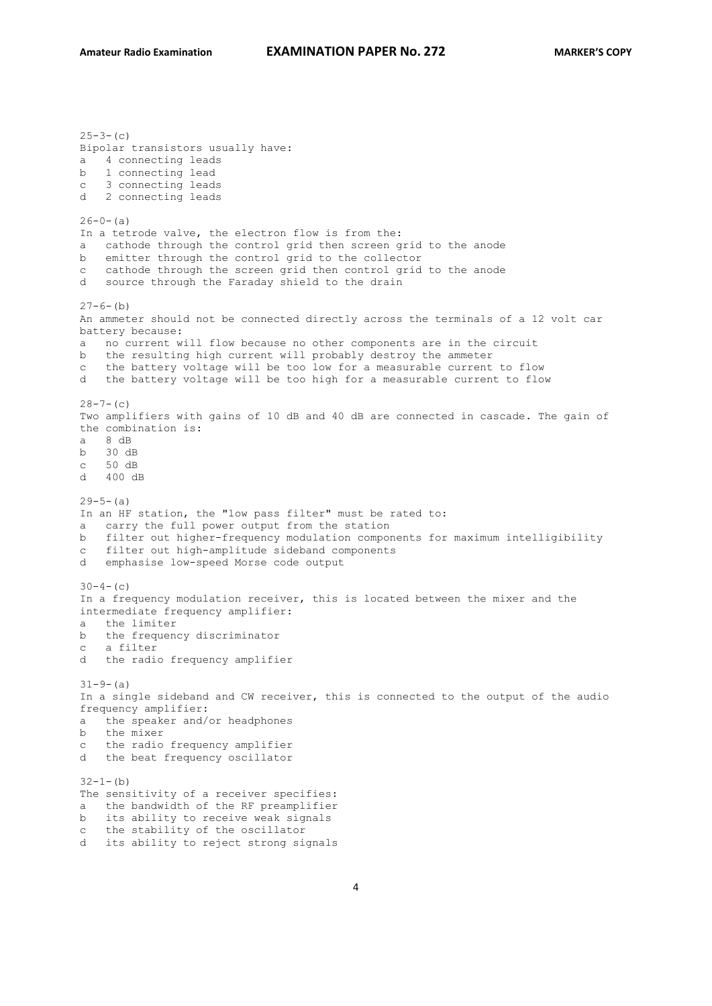$25-3-(c)$ Bipolar transistors usually have: a 4 connecting leads b 1 connecting lead c 3 connecting leads d 2 connecting leads  $26-0-$ (a) In a tetrode valve, the electron flow is from the: a cathode through the control grid then screen grid to the anode b emitter through the control grid to the collector c cathode through the screen grid then control grid to the anode d source through the Faraday shield to the drain  $27-6-(h)$ An ammeter should not be connected directly across the terminals of a 12 volt car battery because: a no current will flow because no other components are in the circuit b the resulting high current will probably destroy the ammeter c the battery voltage will be too low for a measurable current to flow d the battery voltage will be too high for a measurable current to flow  $28 - 7 - (c)$ Two amplifiers with gains of 10 dB and 40 dB are connected in cascade. The gain of the combination is: a 8 dB b 30 dB c 50 dB d 400 dB  $29-5-(a)$ In an HF station, the "low pass filter" must be rated to: a carry the full power output from the station b filter out higher-frequency modulation components for maximum intelligibility c filter out high-amplitude sideband components d emphasise low-speed Morse code output  $30-4-(c)$ In a frequency modulation receiver, this is located between the mixer and the intermediate frequency amplifier: a the limiter b the frequency discriminator c a filter d the radio frequency amplifier  $31-9-(a)$ In a single sideband and CW receiver, this is connected to the output of the audio frequency amplifier: a the speaker and/or headphones b the mixer c the radio frequency amplifier d the beat frequency oscillator  $32 - 1 - (b)$ The sensitivity of a receiver specifies: a the bandwidth of the RF preamplifier b its ability to receive weak signals c the stability of the oscillator d its ability to reject strong signals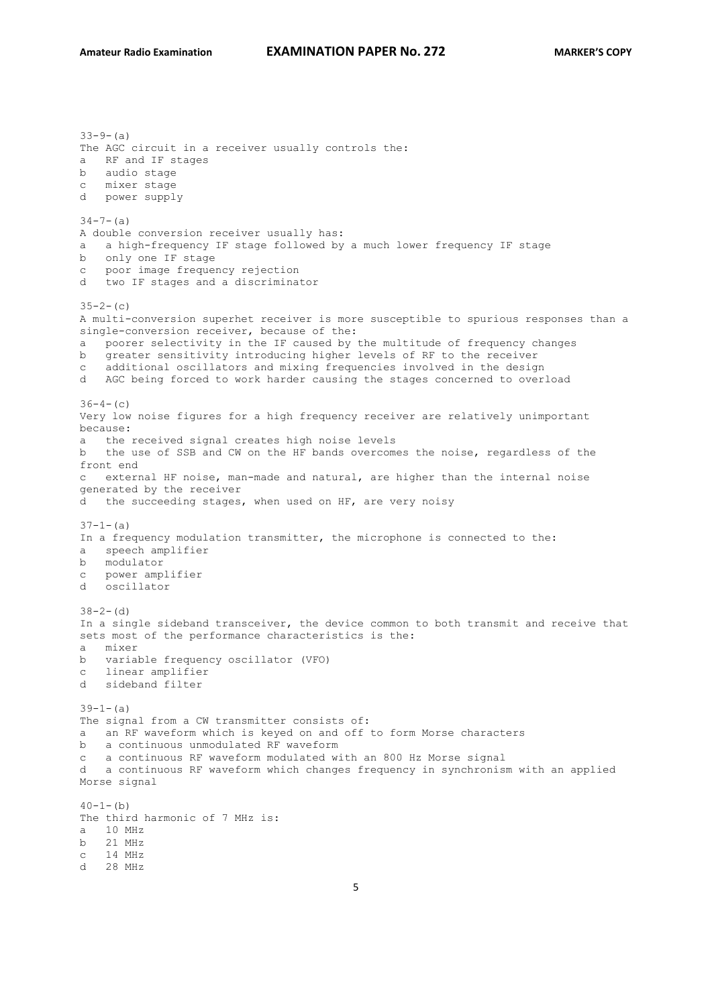$33-9-(a)$ The AGC circuit in a receiver usually controls the: a RF and IF stages b audio stage c mixer stage d power supply  $34 - 7 - (a)$ A double conversion receiver usually has: a a high-frequency IF stage followed by a much lower frequency IF stage b only one IF stage c poor image frequency rejection d two IF stages and a discriminator  $35-2-(c)$ A multi-conversion superhet receiver is more susceptible to spurious responses than a single-conversion receiver, because of the: a poorer selectivity in the IF caused by the multitude of frequency changes b greater sensitivity introducing higher levels of RF to the receiver c additional oscillators and mixing frequencies involved in the design d AGC being forced to work harder causing the stages concerned to overload  $36-4-$  (c) Very low noise figures for a high frequency receiver are relatively unimportant because: a the received signal creates high noise levels b the use of SSB and CW on the HF bands overcomes the noise, regardless of the front end c external HF noise, man-made and natural, are higher than the internal noise generated by the receiver d the succeeding stages, when used on HF, are very noisy  $37-1-$ (a) In a frequency modulation transmitter, the microphone is connected to the: a speech amplifier b modulator c power amplifier d oscillator  $38-2-(d)$ In a single sideband transceiver, the device common to both transmit and receive that sets most of the performance characteristics is the: a mixer b variable frequency oscillator (VFO) c linear amplifier d sideband filter  $39-1-$ (a) The signal from a CW transmitter consists of: a an RF waveform which is keyed on and off to form Morse characters b a continuous unmodulated RF waveform c a continuous RF waveform modulated with an 800 Hz Morse signal d a continuous RF waveform which changes frequency in synchronism with an applied Morse signal  $40-1-$ (b) The third harmonic of 7 MHz is: a 10 MHz b 21 MHz c 14 MHz d 28 MHz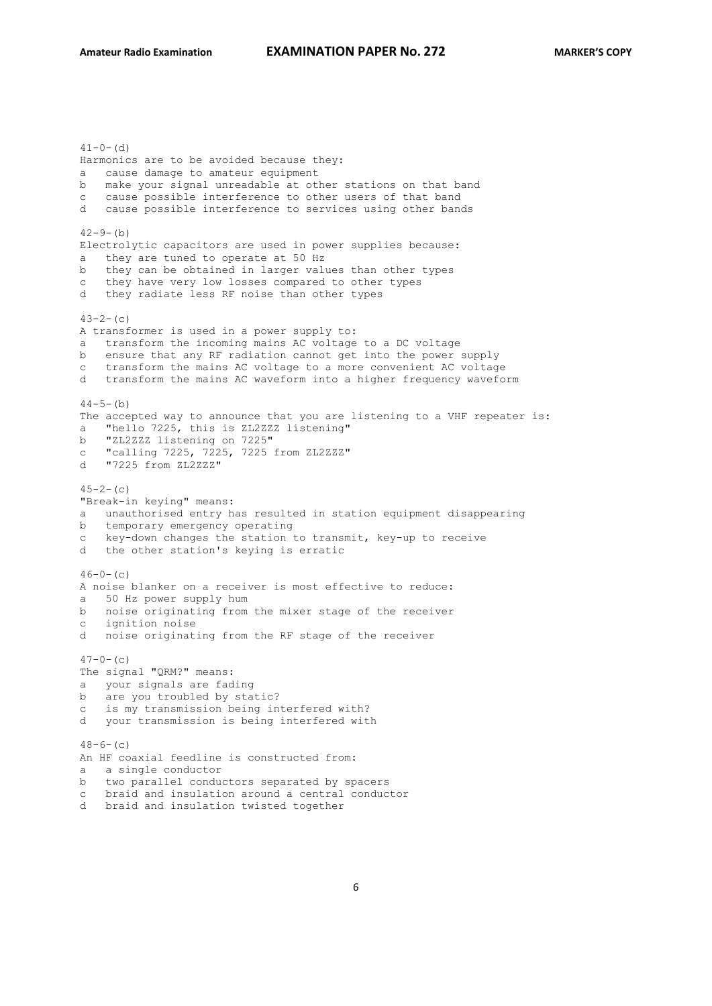$41-0-$  (d) Harmonics are to be avoided because they: a cause damage to amateur equipment b make your signal unreadable at other stations on that band c cause possible interference to other users of that band d cause possible interference to services using other bands  $42 - 9 - (b)$ Electrolytic capacitors are used in power supplies because: they are tuned to operate at 50 Hz b they can be obtained in larger values than other types c they have very low losses compared to other types d they radiate less RF noise than other types  $43-2-(c)$ A transformer is used in a power supply to: a transform the incoming mains AC voltage to a DC voltage b ensure that any RF radiation cannot get into the power supply c transform the mains AC voltage to a more convenient AC voltage d transform the mains AC waveform into a higher frequency waveform  $44-5-$ (b) The accepted way to announce that you are listening to a VHF repeater is: a "hello 7225, this is ZL2ZZZ listening" b "ZL2ZZZ listening on 7225" c "calling 7225, 7225, 7225 from ZL2ZZZ" d "7225 from ZL2ZZZ"  $45-2-$  (c) "Break-in keying" means: a unauthorised entry has resulted in station equipment disappearing b temporary emergency operating c key-down changes the station to transmit, key-up to receive d the other station's keying is erratic  $46-0-$  (c) A noise blanker on a receiver is most effective to reduce: a 50 Hz power supply hum b noise originating from the mixer stage of the receiver c ignition noise d noise originating from the RF stage of the receiver  $47-0-$  (c) The signal "QRM?" means: a your signals are fading b are you troubled by static? c is my transmission being interfered with? d your transmission is being interfered with  $48-6-(c)$ An HF coaxial feedline is constructed from: a a single conductor b two parallel conductors separated by spacers c braid and insulation around a central conductor d braid and insulation twisted together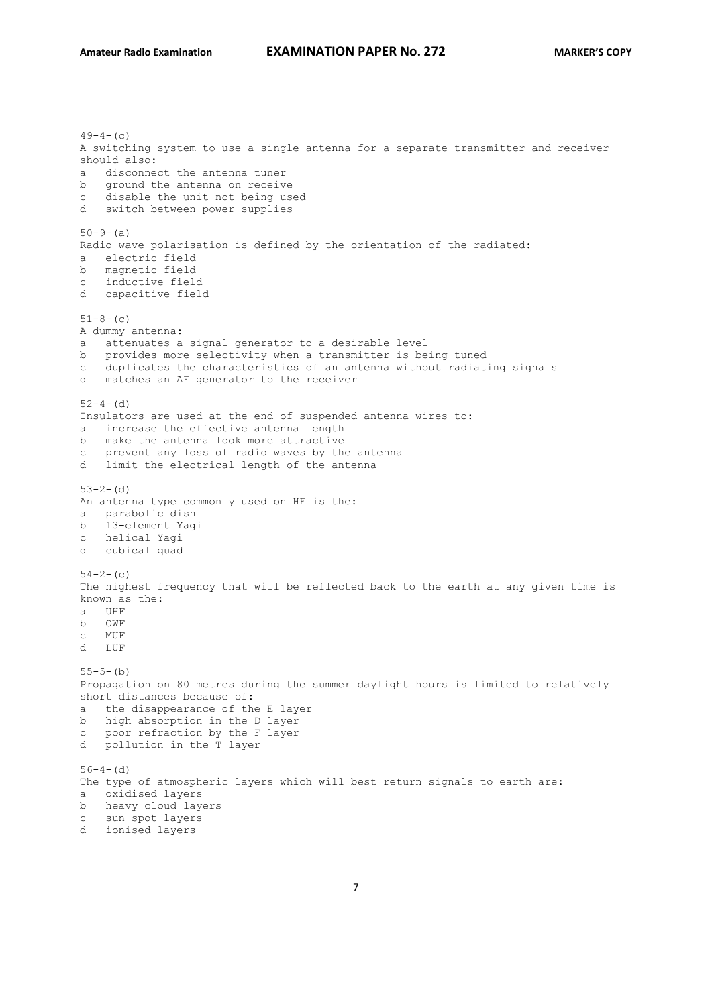$49-4-$  (c) A switching system to use a single antenna for a separate transmitter and receiver should also: a disconnect the antenna tuner b ground the antenna on receive c disable the unit not being used d switch between power supplies  $50-9-(a)$ Radio wave polarisation is defined by the orientation of the radiated: a electric field b magnetic field c inductive field d capacitive field  $51-8-(c)$ A dummy antenna: a attenuates a signal generator to a desirable level b provides more selectivity when a transmitter is being tuned c duplicates the characteristics of an antenna without radiating signals d matches an AF generator to the receiver  $52-4-$  (d) Insulators are used at the end of suspended antenna wires to: a increase the effective antenna length b make the antenna look more attractive c prevent any loss of radio waves by the antenna d limit the electrical length of the antenna  $53-2-$  (d) An antenna type commonly used on HF is the: a parabolic dish b 13-element Yagi c helical Yagi d cubical quad  $54-2-$ (c) The highest frequency that will be reflected back to the earth at any given time is known as the: a UHF b OWF c MUF d LUF  $55-5-(b)$ Propagation on 80 metres during the summer daylight hours is limited to relatively short distances because of: a the disappearance of the E layer b high absorption in the D layer c poor refraction by the F layer d pollution in the T layer  $56-4-(d)$ The type of atmospheric layers which will best return signals to earth are: a oxidised layers b heavy cloud layers c sun spot layers d ionised layers